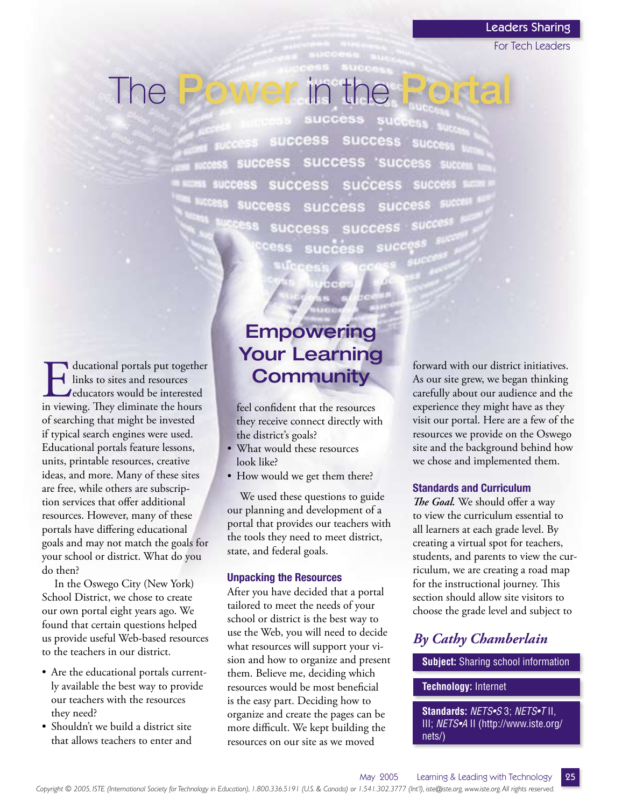For Tech Leaders

## The Power in the Portal SUCCES

ss success **SUCCess SUCCESS** 'Success **SURGGSS** success **SUCCESS SUCCESS** succe success Success **SUCCESS** 

**I** ducational portals put together links to sites and resources educators would be interested in viewing. They eliminate the hours of searching that might be invested if typical search engines were used. Educational portals feature lessons, units, printable resources, creative ideas, and more. Many of these sites are free, while others are subscription services that offer additional resources. However, many of these portals have differing educational goals and may not match the goals for your school or district. What do you do then?

In the Oswego City (New York) School District, we chose to create our own portal eight years ago. We found that certain questions helped us provide useful Web-based resources to the teachers in our district.

- Are the educational portals currently available the best way to provide our teachers with the resources they need?
- Shouldn't we build a district site that allows teachers to enter and

## **Empowering** Your Learning **Community**

feel confident that the resources they receive connect directly with the district's goals?

- What would these resources look like?
- How would we get them there?

We used these questions to guide our planning and development of a portal that provides our teachers with the tools they need to meet district, state, and federal goals.

#### Unpacking the Resources

After you have decided that a portal tailored to meet the needs of your school or district is the best way to use the Web, you will need to decide what resources will support your vision and how to organize and present them. Believe me, deciding which resources would be most beneficial is the easy part. Deciding how to organize and create the pages can be more difficult. We kept building the resources on our site as we moved

forward with our district initiatives. As our site grew, we began thinking carefully about our audience and the experience they might have as they visit our portal. Here are a few of the resources we provide on the Oswego site and the background behind how we chose and implemented them.

#### Standards and Curriculum

*The Goal.* We should offer a way to view the curriculum essential to all learners at each grade level. By creating a virtual spot for teachers, students, and parents to view the curriculum, we are creating a road map for the instructional journey. This section should allow site visitors to choose the grade level and subject to

### *By Cathy Chamberlain*

**Subject:** Sharing school information

#### **Technology:** Internet

**Standards:** NETS•S 3; NETS•T II, III; NETS•A II (http://www.iste.org/ nets/)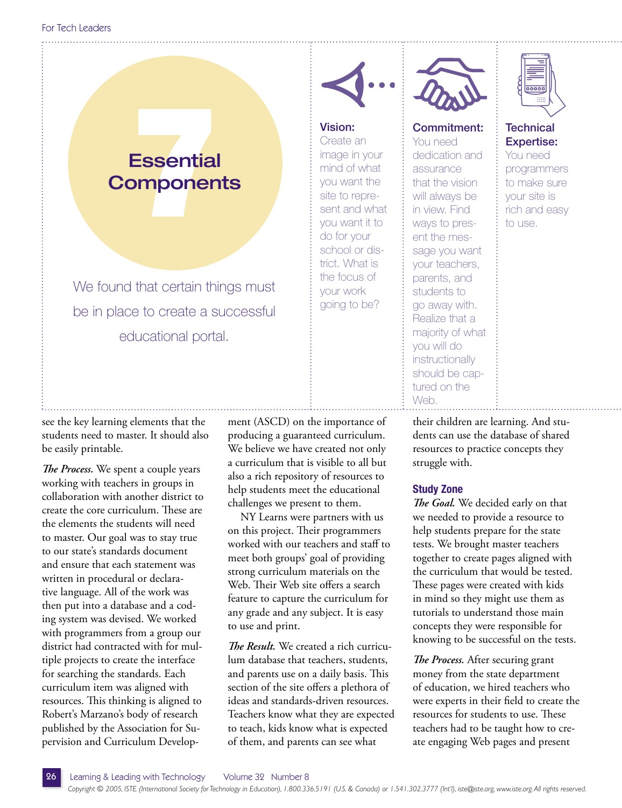# **1999**<br>Essentia<br>mponer **Essential Components**

We found that certain things must be in place to create a successful educational portal.

Vision: Create an image in your mind of what you want the site to represent and what you want it to do for your school or district. What is the focus of your work going to be?



Commitment: You need dedication and assurance that the vision will always be in view. Find ways to present the message you want your teachers, parents, and students to go away with. Realize that a majority of what you will do instructionally should be captured on the Web.



**Technical** Expertise:

You need programmers to make sure your site is rich and easy to use.

see the key learning elements that the students need to master. It should also be easily printable.

The Process. We spent a couple years working with teachers in groups in collaboration with another district to create the core curriculum. These are the elements the students will need to master. Our goal was to stay true to our state's standards document and ensure that each statement was written in procedural or declarative language. All of the work was then put into a database and a coding system was devised. We worked with programmers from a group our district had contracted with for multiple projects to create the interface for searching the standards. Each curriculum item was aligned with resources. This thinking is aligned to Robert's Marzano's body of research published by the Association for Supervision and Curriculum Development (ASCD) on the importance of producing a guaranteed curriculum. We believe we have created not only a curriculum that is visible to all but also a rich repository of resources to help students meet the educational challenges we present to them.

NY Learns were partners with us on this project. Their programmers worked with our teachers and staff to meet both groups' goal of providing strong curriculum materials on the Web. Their Web site offers a search feature to capture the curriculum for any grade and any subject. It is easy to use and print.

*The Result*. We created a rich curriculum database that teachers, students, and parents use on a daily basis. This section of the site offers a plethora of ideas and standards-driven resources. Teachers know what they are expected to teach, kids know what is expected of them, and parents can see what

their children are learning. And students can use the database of shared resources to practice concepts they struggle with.

#### Study Zone

The Goal. We decided early on that we needed to provide a resource to help students prepare for the state tests. We brought master teachers together to create pages aligned with the curriculum that would be tested. These pages were created with kids in mind so they might use them as tutorials to understand those main concepts they were responsible for knowing to be successful on the tests.

**The Process.** After securing grant money from the state department of education, we hired teachers who were experts in their field to create the resources for students to use. These teachers had to be taught how to create engaging Web pages and present

Learning & Leading with Technology Volume 32 Number 8